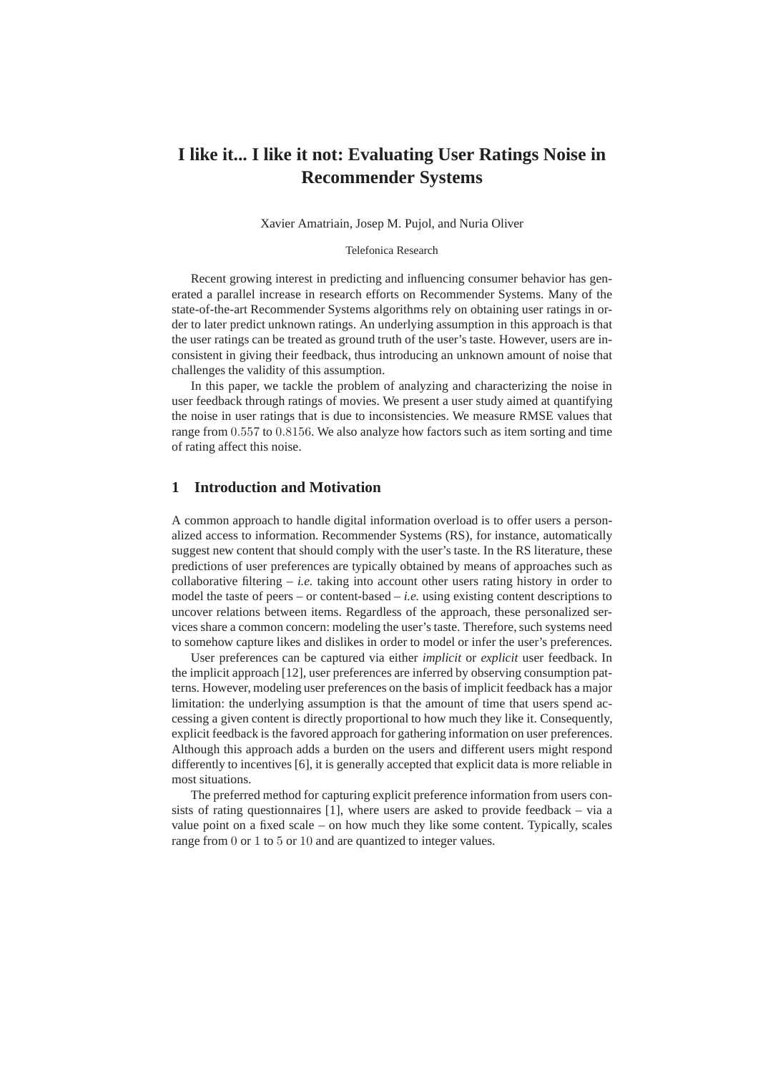# **I like it... I like it not: Evaluating User Ratings Noise in Recommender Systems**

Xavier Amatriain, Josep M. Pujol, and Nuria Oliver

#### Telefonica Research

Recent growing interest in predicting and influencing consumer behavior has generated a parallel increase in research efforts on Recommender Systems. Many of the state-of-the-art Recommender Systems algorithms rely on obtaining user ratings in order to later predict unknown ratings. An underlying assumption in this approach is that the user ratings can be treated as ground truth of the user's taste. However, users are inconsistent in giving their feedback, thus introducing an unknown amount of noise that challenges the validity of this assumption.

In this paper, we tackle the problem of analyzing and characterizing the noise in user feedback through ratings of movies. We present a user study aimed at quantifying the noise in user ratings that is due to inconsistencies. We measure RMSE values that range from 0.557 to 0.8156. We also analyze how factors such as item sorting and time of rating affect this noise.

# **1 Introduction and Motivation**

A common approach to handle digital information overload is to offer users a personalized access to information. Recommender Systems (RS), for instance, automatically suggest new content that should comply with the user's taste. In the RS literature, these predictions of user preferences are typically obtained by means of approaches such as collaborative filtering  $-i.e.$  taking into account other users rating history in order to model the taste of peers – or content-based  $-i.e.$  using existing content descriptions to uncover relations between items. Regardless of the approach, these personalized services share a common concern: modeling the user's taste. Therefore, such systems need to somehow capture likes and dislikes in order to model or infer the user's preferences.

User preferences can be captured via either *implicit* or *explicit* user feedback. In the implicit approach [12], user preferences are inferred by observing consumption patterns. However, modeling user preferences on the basis of implicit feedback has a major limitation: the underlying assumption is that the amount of time that users spend accessing a given content is directly proportional to how much they like it. Consequently, explicit feedback is the favored approach for gathering information on user preferences. Although this approach adds a burden on the users and different users might respond differently to incentives [6], it is generally accepted that explicit data is more reliable in most situations.

The preferred method for capturing explicit preference information from users consists of rating questionnaires [1], where users are asked to provide feedback – via a value point on a fixed scale – on how much they like some content. Typically, scales range from 0 or 1 to 5 or 10 and are quantized to integer values.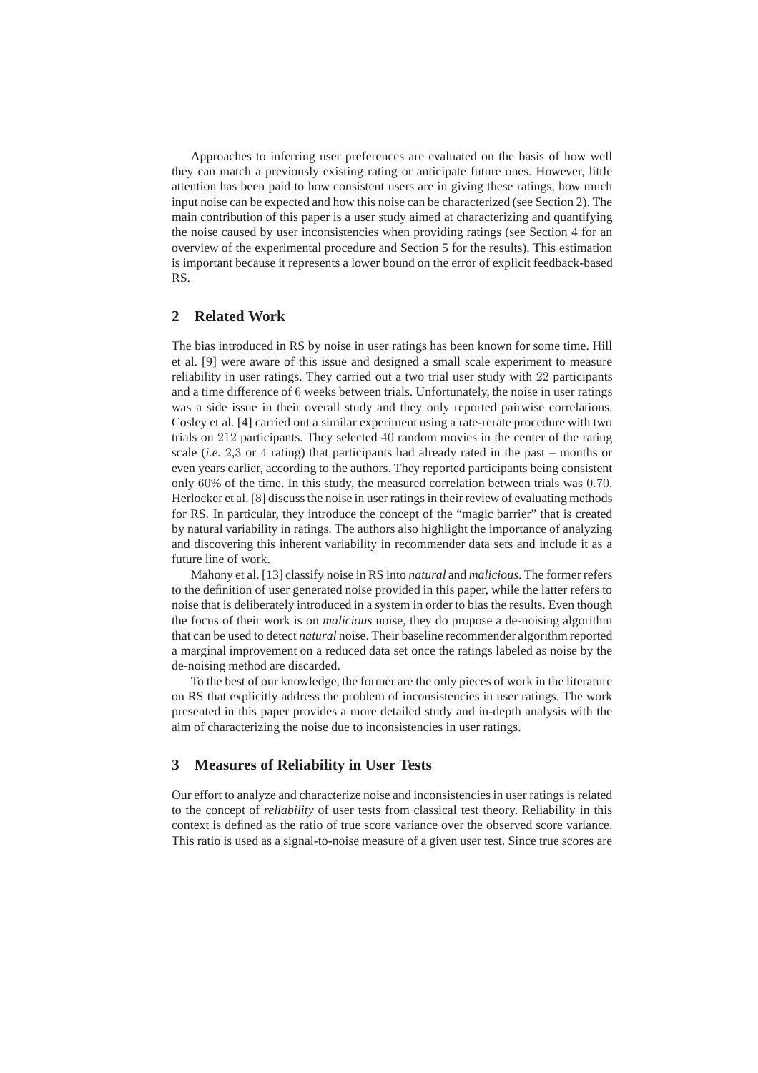Approaches to inferring user preferences are evaluated on the basis of how well they can match a previously existing rating or anticipate future ones. However, little attention has been paid to how consistent users are in giving these ratings, how much input noise can be expected and how this noise can be characterized (see Section 2). The main contribution of this paper is a user study aimed at characterizing and quantifying the noise caused by user inconsistencies when providing ratings (see Section 4 for an overview of the experimental procedure and Section 5 for the results). This estimation is important because it represents a lower bound on the error of explicit feedback-based RS.

# **2 Related Work**

The bias introduced in RS by noise in user ratings has been known for some time. Hill et al. [9] were aware of this issue and designed a small scale experiment to measure reliability in user ratings. They carried out a two trial user study with 22 participants and a time difference of 6 weeks between trials. Unfortunately, the noise in user ratings was a side issue in their overall study and they only reported pairwise correlations. Cosley et al. [4] carried out a similar experiment using a rate-rerate procedure with two trials on 212 participants. They selected 40 random movies in the center of the rating scale (*i.e.* 2,3 or 4 rating) that participants had already rated in the past – months or even years earlier, according to the authors. They reported participants being consistent only 60% of the time. In this study, the measured correlation between trials was 0.70. Herlocker et al. [8] discuss the noise in user ratings in their review of evaluating methods for RS. In particular, they introduce the concept of the "magic barrier" that is created by natural variability in ratings. The authors also highlight the importance of analyzing and discovering this inherent variability in recommender data sets and include it as a future line of work.

Mahony et al. [13] classify noise in RS into *natural* and *malicious*. The former refers to the definition of user generated noise provided in this paper, while the latter refers to noise that is deliberately introduced in a system in order to bias the results. Even though the focus of their work is on *malicious* noise, they do propose a de-noising algorithm that can be used to detect *natural* noise. Their baseline recommender algorithm reported a marginal improvement on a reduced data set once the ratings labeled as noise by the de-noising method are discarded.

To the best of our knowledge, the former are the only pieces of work in the literature on RS that explicitly address the problem of inconsistencies in user ratings. The work presented in this paper provides a more detailed study and in-depth analysis with the aim of characterizing the noise due to inconsistencies in user ratings.

### **3 Measures of Reliability in User Tests**

Our effort to analyze and characterize noise and inconsistencies in user ratings is related to the concept of *reliability* of user tests from classical test theory. Reliability in this context is defined as the ratio of true score variance over the observed score variance. This ratio is used as a signal-to-noise measure of a given user test. Since true scores are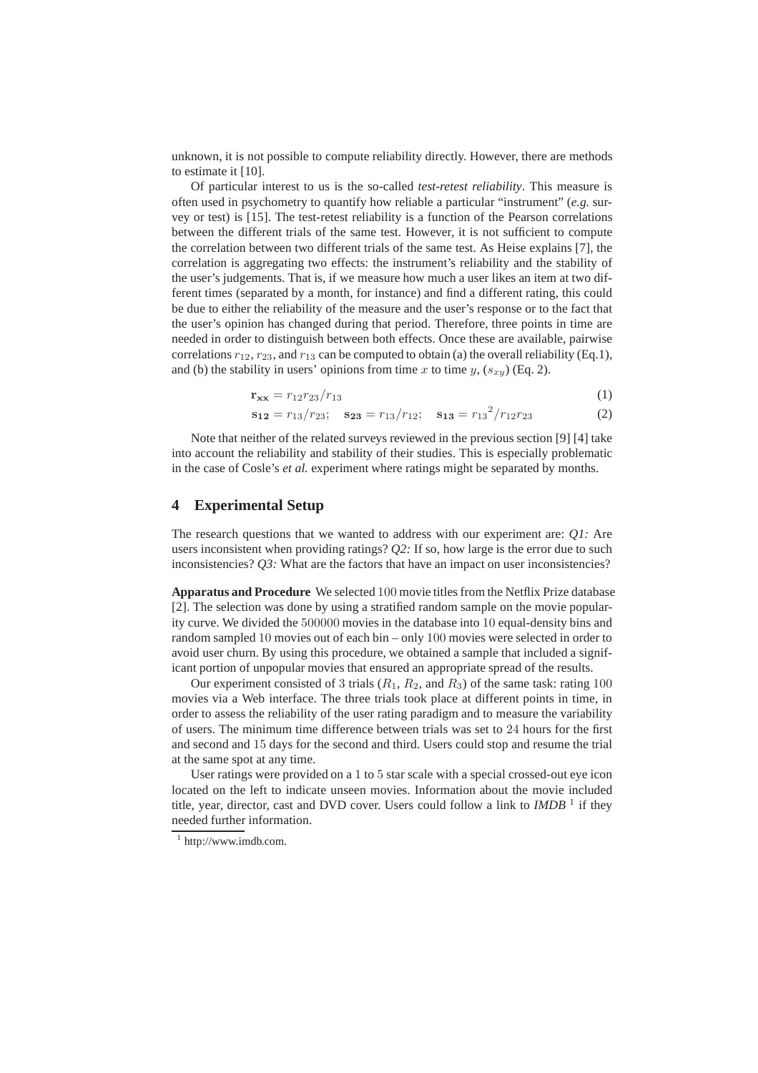unknown, it is not possible to compute reliability directly. However, there are methods to estimate it [10].

Of particular interest to us is the so-called *test-retest reliability*. This measure is often used in psychometry to quantify how reliable a particular "instrument" (*e.g.* survey or test) is [15]. The test-retest reliability is a function of the Pearson correlations between the different trials of the same test. However, it is not sufficient to compute the correlation between two different trials of the same test. As Heise explains [7], the correlation is aggregating two effects: the instrument's reliability and the stability of the user's judgements. That is, if we measure how much a user likes an item at two different times (separated by a month, for instance) and find a different rating, this could be due to either the reliability of the measure and the user's response or to the fact that the user's opinion has changed during that period. Therefore, three points in time are needed in order to distinguish between both effects. Once these are available, pairwise correlations  $r_{12}$ ,  $r_{23}$ , and  $r_{13}$  can be computed to obtain (a) the overall reliability (Eq.1), and (b) the stability in users' opinions from time x to time  $y$ ,  $(s_{xy})$  (Eq. 2).

$$
\mathbf{r}_{\mathbf{xx}} = r_{12} r_{23} / r_{13} \tag{1}
$$

$$
\mathbf{s}_{12} = r_{13}/r_{23}; \quad \mathbf{s}_{23} = r_{13}/r_{12}; \quad \mathbf{s}_{13} = r_{13}^2/r_{12}r_{23} \tag{2}
$$

Note that neither of the related surveys reviewed in the previous section [9] [4] take into account the reliability and stability of their studies. This is especially problematic in the case of Cosle's *et al.* experiment where ratings might be separated by months.

### **4 Experimental Setup**

The research questions that we wanted to address with our experiment are: *Q1:* Are users inconsistent when providing ratings? *Q2:* If so, how large is the error due to such inconsistencies? *Q3:* What are the factors that have an impact on user inconsistencies?

**Apparatus and Procedure** We selected 100 movie titles from the Netflix Prize database [2]. The selection was done by using a stratified random sample on the movie popularity curve. We divided the 500000 movies in the database into 10 equal-density bins and random sampled 10 movies out of each bin – only 100 movies were selected in order to avoid user churn. By using this procedure, we obtained a sample that included a significant portion of unpopular movies that ensured an appropriate spread of the results.

Our experiment consisted of 3 trials  $(R_1, R_2,$  and  $R_3)$  of the same task: rating 100 movies via a Web interface. The three trials took place at different points in time, in order to assess the reliability of the user rating paradigm and to measure the variability of users. The minimum time difference between trials was set to 24 hours for the first and second and 15 days for the second and third. Users could stop and resume the trial at the same spot at any time.

User ratings were provided on a 1 to 5 star scale with a special crossed-out eye icon located on the left to indicate unseen movies. Information about the movie included title, year, director, cast and DVD cover. Users could follow a link to *IMDB*<sup>1</sup> if they needed further information.

<sup>1</sup> http://www.imdb.com.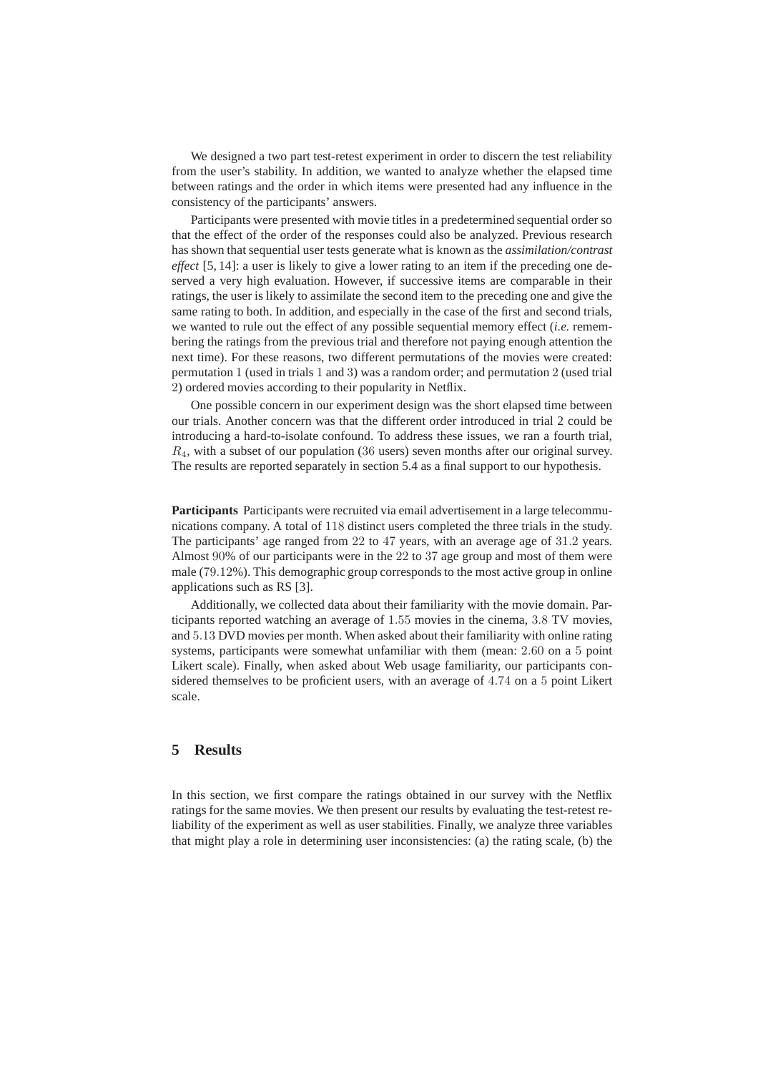We designed a two part test-retest experiment in order to discern the test reliability from the user's stability. In addition, we wanted to analyze whether the elapsed time between ratings and the order in which items were presented had any influence in the consistency of the participants' answers.

Participants were presented with movie titles in a predetermined sequential order so that the effect of the order of the responses could also be analyzed. Previous research has shown that sequential user tests generate what is known as the *assimilation/contrast effect* [5, 14]: a user is likely to give a lower rating to an item if the preceding one deserved a very high evaluation. However, if successive items are comparable in their ratings, the user is likely to assimilate the second item to the preceding one and give the same rating to both. In addition, and especially in the case of the first and second trials, we wanted to rule out the effect of any possible sequential memory effect (*i.e.* remembering the ratings from the previous trial and therefore not paying enough attention the next time). For these reasons, two different permutations of the movies were created: permutation 1 (used in trials 1 and 3) was a random order; and permutation 2 (used trial 2) ordered movies according to their popularity in Netflix.

One possible concern in our experiment design was the short elapsed time between our trials. Another concern was that the different order introduced in trial 2 could be introducing a hard-to-isolate confound. To address these issues, we ran a fourth trial,  $R_4$ , with a subset of our population (36 users) seven months after our original survey. The results are reported separately in section 5.4 as a final support to our hypothesis.

**Participants** Participants were recruited via email advertisement in a large telecommunications company. A total of 118 distinct users completed the three trials in the study. The participants' age ranged from 22 to 47 years, with an average age of 31.2 years. Almost 90% of our participants were in the 22 to 37 age group and most of them were male (79.12%). This demographic group corresponds to the most active group in online applications such as RS [3].

Additionally, we collected data about their familiarity with the movie domain. Participants reported watching an average of 1.55 movies in the cinema, 3.8 TV movies, and 5.13 DVD movies per month. When asked about their familiarity with online rating systems, participants were somewhat unfamiliar with them (mean: 2.60 on a 5 point Likert scale). Finally, when asked about Web usage familiarity, our participants considered themselves to be proficient users, with an average of 4.74 on a 5 point Likert scale.

# **5 Results**

In this section, we first compare the ratings obtained in our survey with the Netflix ratings for the same movies. We then present our results by evaluating the test-retest reliability of the experiment as well as user stabilities. Finally, we analyze three variables that might play a role in determining user inconsistencies: (a) the rating scale, (b) the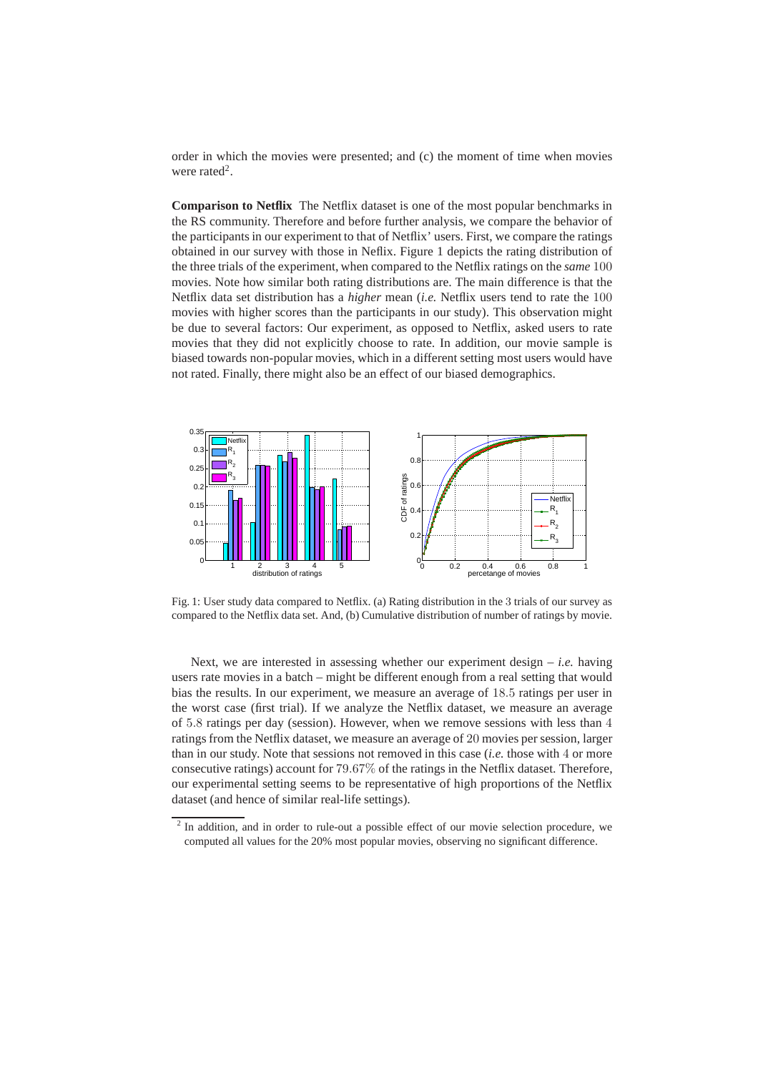order in which the movies were presented; and (c) the moment of time when movies were rated<sup>2</sup>.

**Comparison to Netflix** The Netflix dataset is one of the most popular benchmarks in the RS community. Therefore and before further analysis, we compare the behavior of the participants in our experiment to that of Netflix' users. First, we compare the ratings obtained in our survey with those in Neflix. Figure 1 depicts the rating distribution of the three trials of the experiment, when compared to the Netflix ratings on the *same* 100 movies. Note how similar both rating distributions are. The main difference is that the Netflix data set distribution has a *higher* mean (*i.e.* Netflix users tend to rate the 100 movies with higher scores than the participants in our study). This observation might be due to several factors: Our experiment, as opposed to Netflix, asked users to rate movies that they did not explicitly choose to rate. In addition, our movie sample is biased towards non-popular movies, which in a different setting most users would have not rated. Finally, there might also be an effect of our biased demographics.



Fig. 1: User study data compared to Netflix. (a) Rating distribution in the 3 trials of our survey as compared to the Netflix data set. And, (b) Cumulative distribution of number of ratings by movie.

Next, we are interested in assessing whether our experiment design – *i.e.* having users rate movies in a batch – might be different enough from a real setting that would bias the results. In our experiment, we measure an average of 18.5 ratings per user in the worst case (first trial). If we analyze the Netflix dataset, we measure an average of 5.8 ratings per day (session). However, when we remove sessions with less than 4 ratings from the Netflix dataset, we measure an average of 20 movies per session, larger than in our study. Note that sessions not removed in this case (*i.e.* those with 4 or more consecutive ratings) account for 79.67% of the ratings in the Netflix dataset. Therefore, our experimental setting seems to be representative of high proportions of the Netflix dataset (and hence of similar real-life settings).

 $2$  In addition, and in order to rule-out a possible effect of our movie selection procedure, we computed all values for the 20% most popular movies, observing no significant difference.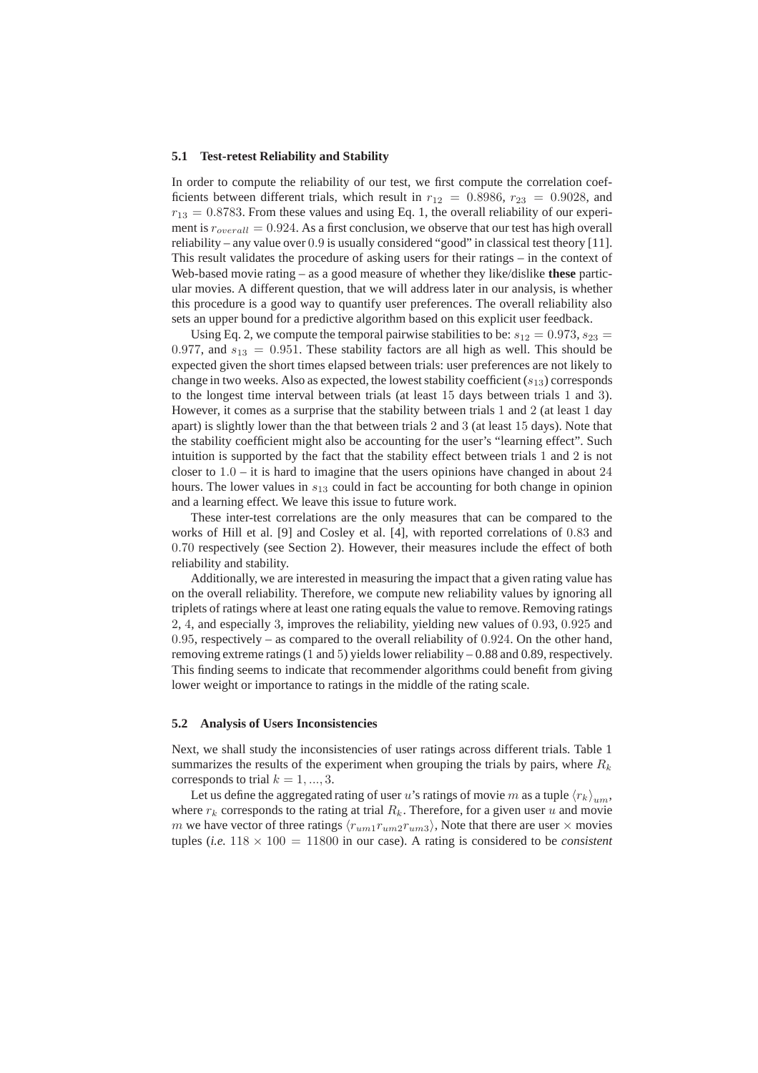#### **5.1 Test-retest Reliability and Stability**

In order to compute the reliability of our test, we first compute the correlation coefficients between different trials, which result in  $r_{12} = 0.8986, r_{23} = 0.9028$ , and  $r_{13} = 0.8783$ . From these values and using Eq. 1, the overall reliability of our experiment is  $r_{overall} = 0.924$ . As a first conclusion, we observe that our test has high overall reliability – any value over 0.9 is usually considered "good" in classical test theory [11]. This result validates the procedure of asking users for their ratings – in the context of Web-based movie rating – as a good measure of whether they like/dislike **these** particular movies. A different question, that we will address later in our analysis, is whether this procedure is a good way to quantify user preferences. The overall reliability also sets an upper bound for a predictive algorithm based on this explicit user feedback.

Using Eq. 2, we compute the temporal pairwise stabilities to be:  $s_{12} = 0.973$ ,  $s_{23} =$ 0.977, and  $s_{13} = 0.951$ . These stability factors are all high as well. This should be expected given the short times elapsed between trials: user preferences are not likely to change in two weeks. Also as expected, the lowest stability coefficient  $(s_{13})$  corresponds to the longest time interval between trials (at least 15 days between trials 1 and 3). However, it comes as a surprise that the stability between trials 1 and 2 (at least 1 day apart) is slightly lower than the that between trials 2 and 3 (at least 15 days). Note that the stability coefficient might also be accounting for the user's "learning effect". Such intuition is supported by the fact that the stability effect between trials 1 and 2 is not closer to  $1.0 - it$  is hard to imagine that the users opinions have changed in about 24 hours. The lower values in  $s_{13}$  could in fact be accounting for both change in opinion and a learning effect. We leave this issue to future work.

These inter-test correlations are the only measures that can be compared to the works of Hill et al. [9] and Cosley et al. [4], with reported correlations of 0.83 and 0.70 respectively (see Section 2). However, their measures include the effect of both reliability and stability.

Additionally, we are interested in measuring the impact that a given rating value has on the overall reliability. Therefore, we compute new reliability values by ignoring all triplets of ratings where at least one rating equals the value to remove. Removing ratings 2, 4, and especially 3, improves the reliability, yielding new values of 0.93, 0.925 and  $0.95$ , respectively – as compared to the overall reliability of  $0.924$ . On the other hand, removing extreme ratings (1 and 5) yields lower reliability – 0.88 and 0.89, respectively. This finding seems to indicate that recommender algorithms could benefit from giving lower weight or importance to ratings in the middle of the rating scale.

#### **5.2 Analysis of Users Inconsistencies**

Next, we shall study the inconsistencies of user ratings across different trials. Table 1 summarizes the results of the experiment when grouping the trials by pairs, where  $R_k$ corresponds to trial  $k = 1, ..., 3$ .

Let us define the aggregated rating of user u's ratings of movie m as a tuple  $\langle r_k \rangle_{un}$ , where  $r_k$  corresponds to the rating at trial  $R_k$ . Therefore, for a given user u and movie m we have vector of three ratings  $\langle r_{um1}r_{um2}r_{um3}\rangle$ , Note that there are user  $\times$  movies tuples (*i.e.*  $118 \times 100 = 11800$  in our case). A rating is considered to be *consistent*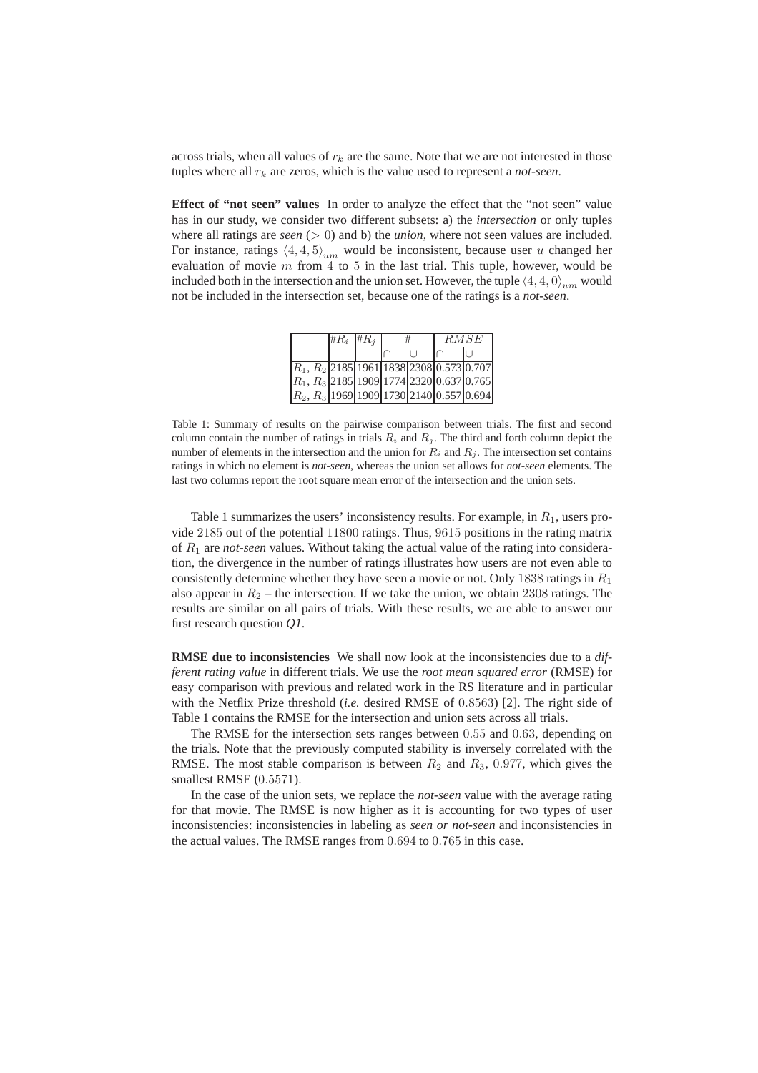across trials, when all values of  $r_k$  are the same. Note that we are not interested in those tuples where all  $r_k$  are zeros, which is the value used to represent a *not-seen*.

**Effect of "not seen" values** In order to analyze the effect that the "not seen" value has in our study, we consider two different subsets: a) the *intersection* or only tuples where all ratings are *seen*  $(0)$  and b) the *union*, where not seen values are included. For instance, ratings  $\langle 4, 4, 5 \rangle_{um}$  would be inconsistent, because user u changed her evaluation of movie  $m$  from  $4$  to  $5$  in the last trial. This tuple, however, would be included both in the intersection and the union set. However, the tuple  $\langle 4, 4, 0 \rangle_{um}$  would not be included in the intersection set, because one of the ratings is a *not-seen*.

|                                                           | $#R_i$ # $R_i$ | # |  | RMSE |  |
|-----------------------------------------------------------|----------------|---|--|------|--|
|                                                           |                |   |  |      |  |
| $R_1, R_2$ 2185 1961 1838 2308 0.573 0.707                |                |   |  |      |  |
| $\left R_1, R_3\right $ 2185 1909 1774 2320 0.637 0.765   |                |   |  |      |  |
| $\left  R_2, R_3 \right $ 1969 1909 1730 2140 0.557 0.694 |                |   |  |      |  |

Table 1: Summary of results on the pairwise comparison between trials. The first and second column contain the number of ratings in trials  $R_i$  and  $R_j$ . The third and forth column depict the number of elements in the intersection and the union for  $R_i$  and  $R_j$ . The intersection set contains ratings in which no element is *not-seen*, whereas the union set allows for *not-seen* elements. The last two columns report the root square mean error of the intersection and the union sets.

Table 1 summarizes the users' inconsistency results. For example, in  $R_1$ , users provide 2185 out of the potential 11800 ratings. Thus, 9615 positions in the rating matrix of  $R_1$  are *not-seen* values. Without taking the actual value of the rating into consideration, the divergence in the number of ratings illustrates how users are not even able to consistently determine whether they have seen a movie or not. Only 1838 ratings in  $R_1$ also appear in  $R_2$  – the intersection. If we take the union, we obtain 2308 ratings. The results are similar on all pairs of trials. With these results, we are able to answer our first research question *Q1*.

**RMSE due to inconsistencies** We shall now look at the inconsistencies due to a *different rating value* in different trials. We use the *root mean squared error* (RMSE) for easy comparison with previous and related work in the RS literature and in particular with the Netflix Prize threshold (*i.e.* desired RMSE of 0.8563) [2]. The right side of Table 1 contains the RMSE for the intersection and union sets across all trials.

The RMSE for the intersection sets ranges between 0.55 and 0.63, depending on the trials. Note that the previously computed stability is inversely correlated with the RMSE. The most stable comparison is between  $R_2$  and  $R_3$ , 0.977, which gives the smallest RMSE (0.5571).

In the case of the union sets, we replace the *not-seen* value with the average rating for that movie. The RMSE is now higher as it is accounting for two types of user inconsistencies: inconsistencies in labeling as *seen or not-seen* and inconsistencies in the actual values. The RMSE ranges from 0.694 to 0.765 in this case.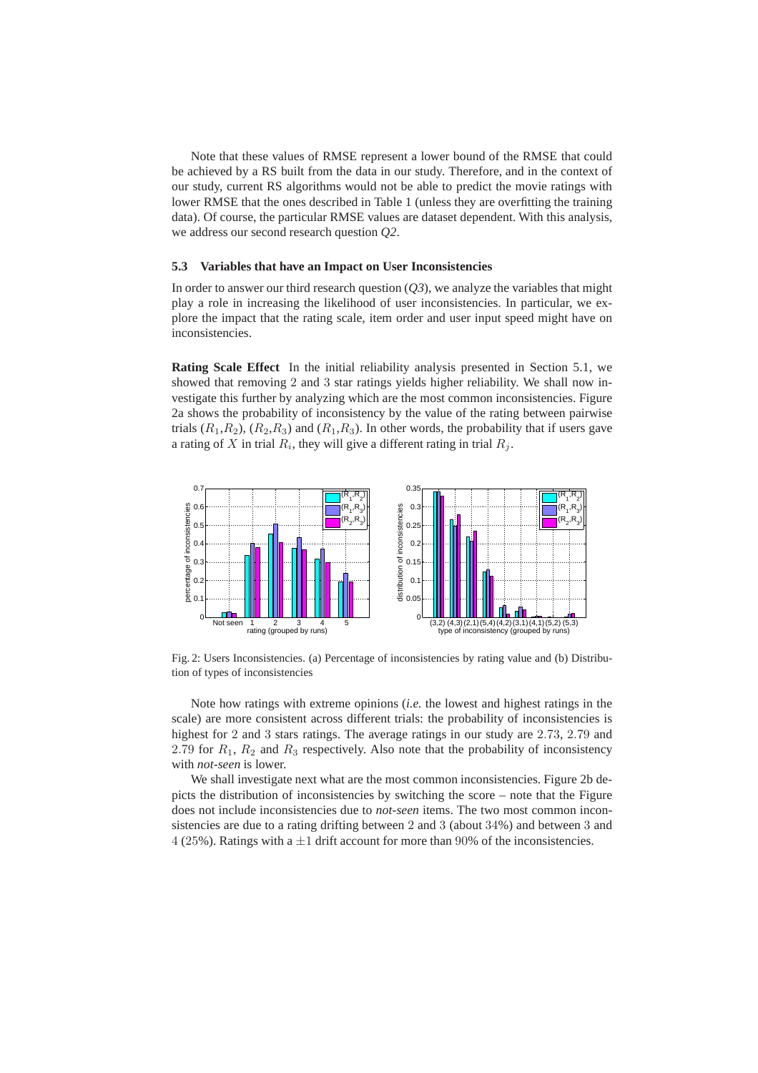Note that these values of RMSE represent a lower bound of the RMSE that could be achieved by a RS built from the data in our study. Therefore, and in the context of our study, current RS algorithms would not be able to predict the movie ratings with lower RMSE that the ones described in Table 1 (unless they are overfitting the training data). Of course, the particular RMSE values are dataset dependent. With this analysis, we address our second research question *Q2*.

#### **5.3 Variables that have an Impact on User Inconsistencies**

In order to answer our third research question  $(Q3)$ , we analyze the variables that might play a role in increasing the likelihood of user inconsistencies. In particular, we explore the impact that the rating scale, item order and user input speed might have on inconsistencies.

**Rating Scale Effect** In the initial reliability analysis presented in Section 5.1, we showed that removing 2 and 3 star ratings yields higher reliability. We shall now investigate this further by analyzing which are the most common inconsistencies. Figure 2a shows the probability of inconsistency by the value of the rating between pairwise trials  $(R_1, R_2)$ ,  $(R_2, R_3)$  and  $(R_1, R_3)$ . In other words, the probability that if users gave a rating of X in trial  $R_i$ , they will give a different rating in trial  $R_j$ .



Fig. 2: Users Inconsistencies. (a) Percentage of inconsistencies by rating value and (b) Distribution of types of inconsistencies

Note how ratings with extreme opinions (*i.e.* the lowest and highest ratings in the scale) are more consistent across different trials: the probability of inconsistencies is highest for 2 and 3 stars ratings. The average ratings in our study are 2.73, 2.79 and 2.79 for  $R_1$ ,  $R_2$  and  $R_3$  respectively. Also note that the probability of inconsistency with *not-seen* is lower.

We shall investigate next what are the most common inconsistencies. Figure 2b depicts the distribution of inconsistencies by switching the score – note that the Figure does not include inconsistencies due to *not-seen* items. The two most common inconsistencies are due to a rating drifting between 2 and 3 (about 34%) and between 3 and  $4$  (25%). Ratings with a  $\pm 1$  drift account for more than 90% of the inconsistencies.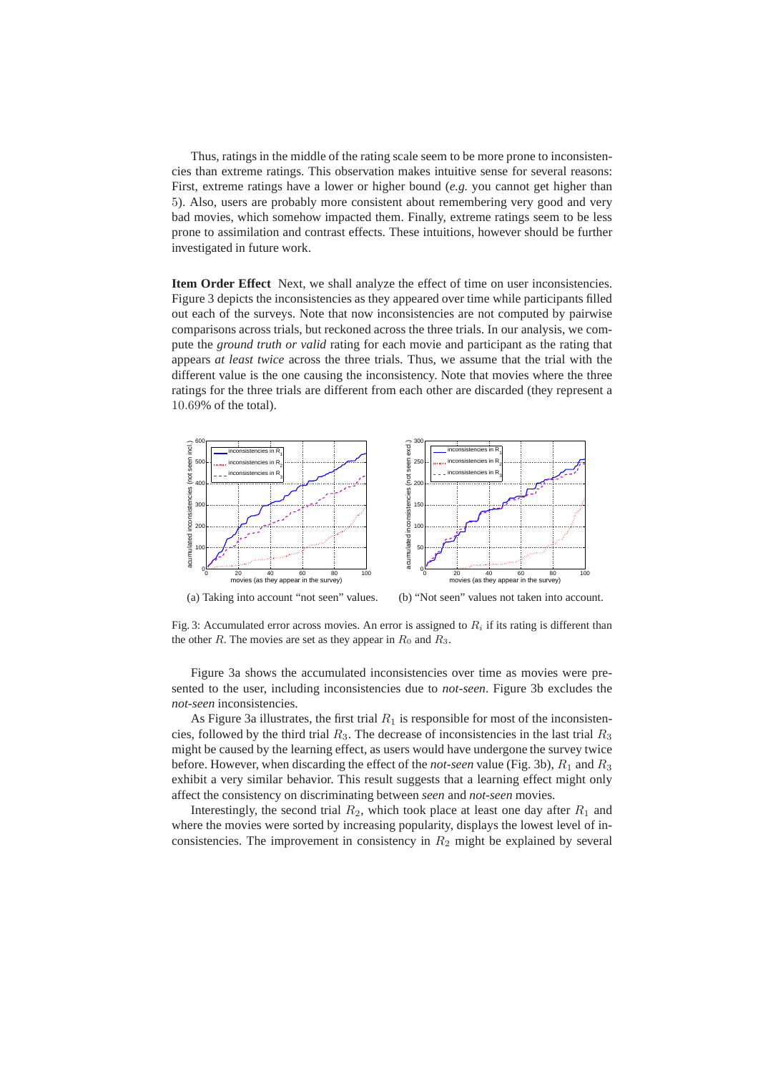Thus, ratings in the middle of the rating scale seem to be more prone to inconsistencies than extreme ratings. This observation makes intuitive sense for several reasons: First, extreme ratings have a lower or higher bound (*e.g.* you cannot get higher than 5). Also, users are probably more consistent about remembering very good and very bad movies, which somehow impacted them. Finally, extreme ratings seem to be less prone to assimilation and contrast effects. These intuitions, however should be further investigated in future work.

**Item Order Effect** Next, we shall analyze the effect of time on user inconsistencies. Figure 3 depicts the inconsistencies as they appeared over time while participants filled out each of the surveys. Note that now inconsistencies are not computed by pairwise comparisons across trials, but reckoned across the three trials. In our analysis, we compute the *ground truth or valid* rating for each movie and participant as the rating that appears *at least twice* across the three trials. Thus, we assume that the trial with the different value is the one causing the inconsistency. Note that movies where the three ratings for the three trials are different from each other are discarded (they represent a 10.69% of the total).



(a) Taking into account "not seen" values. (b) "Not seen" values not taken into account.

Fig. 3: Accumulated error across movies. An error is assigned to  $R_i$  if its rating is different than the other R. The movies are set as they appear in  $R_0$  and  $R_3$ .

Figure 3a shows the accumulated inconsistencies over time as movies were presented to the user, including inconsistencies due to *not-seen*. Figure 3b excludes the *not-seen* inconsistencies.

As Figure 3a illustrates, the first trial  $R_1$  is responsible for most of the inconsistencies, followed by the third trial  $R_3$ . The decrease of inconsistencies in the last trial  $R_3$ might be caused by the learning effect, as users would have undergone the survey twice before. However, when discarding the effect of the *not-seen* value (Fig. 3b),  $R_1$  and  $R_3$ exhibit a very similar behavior. This result suggests that a learning effect might only affect the consistency on discriminating between *seen* and *not-seen* movies.

Interestingly, the second trial  $R_2$ , which took place at least one day after  $R_1$  and where the movies were sorted by increasing popularity, displays the lowest level of inconsistencies. The improvement in consistency in  $R_2$  might be explained by several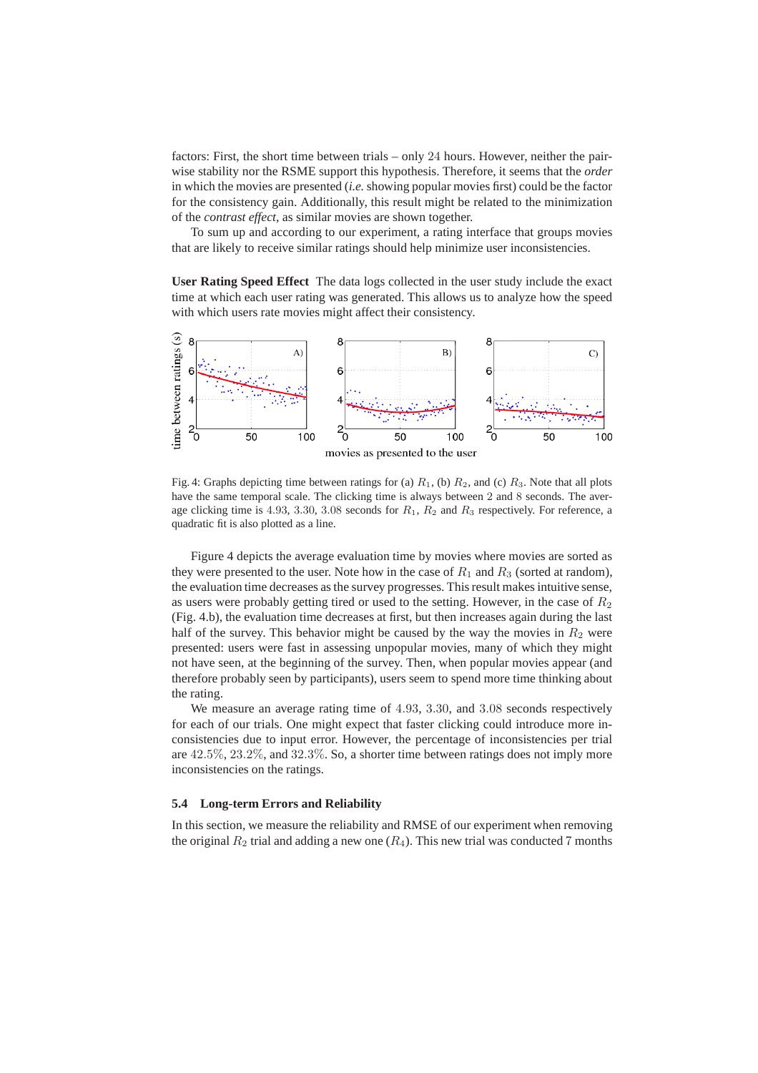factors: First, the short time between trials – only 24 hours. However, neither the pairwise stability nor the RSME support this hypothesis. Therefore, it seems that the *order* in which the movies are presented (*i.e.* showing popular movies first) could be the factor for the consistency gain. Additionally, this result might be related to the minimization of the *contrast effect*, as similar movies are shown together.

To sum up and according to our experiment, a rating interface that groups movies that are likely to receive similar ratings should help minimize user inconsistencies.

**User Rating Speed Effect** The data logs collected in the user study include the exact time at which each user rating was generated. This allows us to analyze how the speed with which users rate movies might affect their consistency.



Fig. 4: Graphs depicting time between ratings for (a)  $R_1$ , (b)  $R_2$ , and (c)  $R_3$ . Note that all plots have the same temporal scale. The clicking time is always between 2 and 8 seconds. The average clicking time is  $4.93$ ,  $3.30$ ,  $3.08$  seconds for  $R_1$ ,  $R_2$  and  $R_3$  respectively. For reference, a quadratic fit is also plotted as a line.

Figure 4 depicts the average evaluation time by movies where movies are sorted as they were presented to the user. Note how in the case of  $R_1$  and  $R_3$  (sorted at random), the evaluation time decreases as the survey progresses. This result makes intuitive sense, as users were probably getting tired or used to the setting. However, in the case of  $R_2$ (Fig. 4.b), the evaluation time decreases at first, but then increases again during the last half of the survey. This behavior might be caused by the way the movies in  $R_2$  were presented: users were fast in assessing unpopular movies, many of which they might not have seen, at the beginning of the survey. Then, when popular movies appear (and therefore probably seen by participants), users seem to spend more time thinking about the rating.

We measure an average rating time of 4.93, 3.30, and 3.08 seconds respectively for each of our trials. One might expect that faster clicking could introduce more inconsistencies due to input error. However, the percentage of inconsistencies per trial are 42.5%, 23.2%, and 32.3%. So, a shorter time between ratings does not imply more inconsistencies on the ratings.

#### **5.4 Long-term Errors and Reliability**

In this section, we measure the reliability and RMSE of our experiment when removing the original  $R_2$  trial and adding a new one  $(R_4)$ . This new trial was conducted 7 months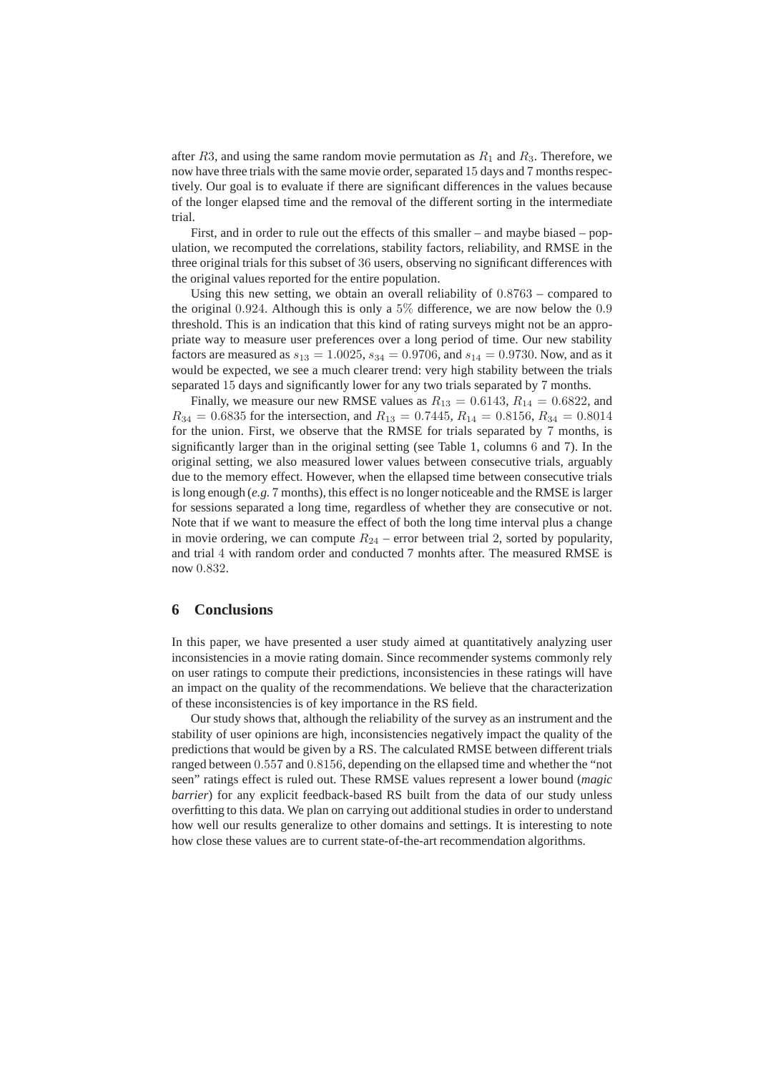after R3, and using the same random movie permutation as  $R_1$  and  $R_3$ . Therefore, we now have three trials with the same movie order, separated 15 days and 7 months respectively. Our goal is to evaluate if there are significant differences in the values because of the longer elapsed time and the removal of the different sorting in the intermediate trial.

First, and in order to rule out the effects of this smaller – and maybe biased – population, we recomputed the correlations, stability factors, reliability, and RMSE in the three original trials for this subset of 36 users, observing no significant differences with the original values reported for the entire population.

Using this new setting, we obtain an overall reliability of 0.8763 – compared to the original 0.924. Although this is only a  $5\%$  difference, we are now below the 0.9 threshold. This is an indication that this kind of rating surveys might not be an appropriate way to measure user preferences over a long period of time. Our new stability factors are measured as  $s_{13} = 1.0025$ ,  $s_{34} = 0.9706$ , and  $s_{14} = 0.9730$ . Now, and as it would be expected, we see a much clearer trend: very high stability between the trials separated 15 days and significantly lower for any two trials separated by 7 months.

Finally, we measure our new RMSE values as  $R_{13} = 0.6143$ ,  $R_{14} = 0.6822$ , and  $R_{34} = 0.6835$  for the intersection, and  $R_{13} = 0.7445, R_{14} = 0.8156, R_{34} = 0.8014$ for the union. First, we observe that the RMSE for trials separated by 7 months, is significantly larger than in the original setting (see Table 1, columns 6 and 7). In the original setting, we also measured lower values between consecutive trials, arguably due to the memory effect. However, when the ellapsed time between consecutive trials is long enough (*e.g.* 7 months), this effect is no longer noticeable and the RMSE is larger for sessions separated a long time, regardless of whether they are consecutive or not. Note that if we want to measure the effect of both the long time interval plus a change in movie ordering, we can compute  $R_{24}$  – error between trial 2, sorted by popularity, and trial 4 with random order and conducted 7 monhts after. The measured RMSE is now 0.832.

### **6 Conclusions**

In this paper, we have presented a user study aimed at quantitatively analyzing user inconsistencies in a movie rating domain. Since recommender systems commonly rely on user ratings to compute their predictions, inconsistencies in these ratings will have an impact on the quality of the recommendations. We believe that the characterization of these inconsistencies is of key importance in the RS field.

Our study shows that, although the reliability of the survey as an instrument and the stability of user opinions are high, inconsistencies negatively impact the quality of the predictions that would be given by a RS. The calculated RMSE between different trials ranged between 0.557 and 0.8156, depending on the ellapsed time and whether the "not seen" ratings effect is ruled out. These RMSE values represent a lower bound (*magic barrier*) for any explicit feedback-based RS built from the data of our study unless overfitting to this data. We plan on carrying out additional studies in order to understand how well our results generalize to other domains and settings. It is interesting to note how close these values are to current state-of-the-art recommendation algorithms.